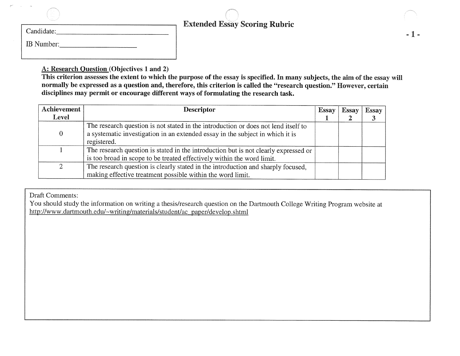| Candidate:        |  |
|-------------------|--|
| <b>IB</b> Number: |  |

#### $-1$   $-$

A: Research Question (Objectives 1 and 2)

This criterion assesses the extent to which the purpose of the essay is specified. In many subjects, the aim of the essay will normally be expressed as a question and, therefore, this criterion is called the "research question." However, certain disciplines may permit or encourage different ways of formulating the research task.

| Achievement    | <b>Descriptor</b>                                                                   | <b>Essay</b> | <b>Essay</b> | Essay |
|----------------|-------------------------------------------------------------------------------------|--------------|--------------|-------|
| Level          |                                                                                     |              |              |       |
|                | The research question is not stated in the introduction or does not lend itself to  |              |              |       |
| $\overline{0}$ | a systematic investigation in an extended essay in the subject in which it is       |              |              |       |
|                | registered.                                                                         |              |              |       |
|                | The research question is stated in the introduction but is not clearly expressed or |              |              |       |
|                | is too broad in scope to be treated effectively within the word limit.              |              |              |       |
| ◠              | The research question is clearly stated in the introduction and sharply focused,    |              |              |       |
|                | making effective treatment possible within the word limit.                          |              |              |       |

Draft Comments:

You should study the information on writing a thesis/research question on the Dartmouth College Writing Program website at http://www.dartmouth.edu/-writing/materials/student/ac paper/develop.shtml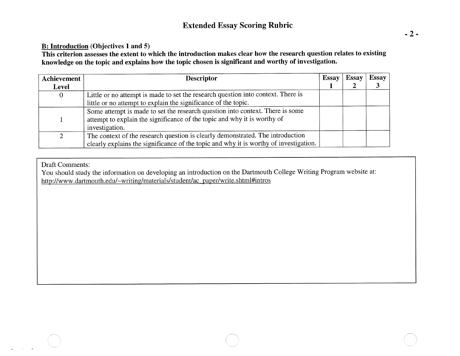#### **B: Introduction (Objectives 1 and 5)**

**This criterion assesses the extent to which the introduction makes clear how the research question relates to existing knowledge on the topic and explains how the topic chosen is significant and worthy of investigation.** 

| Achievement | <b>Descriptor</b>                                                                     | <b>Essay</b> | <b>Essay</b> | <b>Essay</b> |
|-------------|---------------------------------------------------------------------------------------|--------------|--------------|--------------|
| Level       |                                                                                       |              |              |              |
| $\mathbf 0$ | Little or no attempt is made to set the research question into context. There is      |              |              |              |
|             | little or no attempt to explain the significance of the topic.                        |              |              |              |
|             | Some attempt is made to set the research question into context. There is some         |              |              |              |
|             | attempt to explain the significance of the topic and why it is worthy of              |              |              |              |
|             | investigation.                                                                        |              |              |              |
| 2           | The context of the research question is clearly demonstrated. The introduction        |              |              |              |
|             | clearly explains the significance of the topic and why it is worthy of investigation. |              |              |              |

#### Draft Comments:

You should study the information on developing an introduction on the Dartmouth College Writing Program website at: http://www.dartmouth.edu/~writing/materials/student/ac\_paper/write.shtml#intros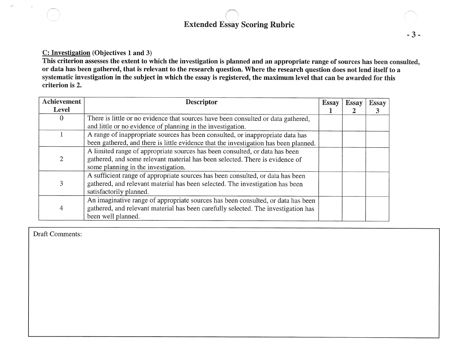#### C: Investigation (Objectives 1 and 3)

This criterion assesses the extent to which the investigation is planned and an appropriate range of sources has been consulted, or data has been gathered, that is relevant to the research question. Where the research question does not lend itself to a systematic investigation in the subject in which the essay is registered, the maximum level that can be awarded for this criterion is 2.

| <b>Achievement</b> | <b>Descriptor</b>                                                                    | Essay | Essay | <b>Essay</b> |
|--------------------|--------------------------------------------------------------------------------------|-------|-------|--------------|
| Level              |                                                                                      |       |       | 3            |
| $\theta$           | There is little or no evidence that sources have been consulted or data gathered,    |       |       |              |
|                    | and little or no evidence of planning in the investigation.                          |       |       |              |
|                    | A range of inappropriate sources has been consulted, or inappropriate data has       |       |       |              |
|                    | been gathered, and there is little evidence that the investigation has been planned. |       |       |              |
|                    | A limited range of appropriate sources has been consulted, or data has been          |       |       |              |
| 2                  | gathered, and some relevant material has been selected. There is evidence of         |       |       |              |
|                    | some planning in the investigation.                                                  |       |       |              |
|                    | A sufficient range of appropriate sources has been consulted, or data has been       |       |       |              |
| 3                  | gathered, and relevant material has been selected. The investigation has been        |       |       |              |
|                    | satisfactorily planned.                                                              |       |       |              |
| 4                  | An imaginative range of appropriate sources has been consulted, or data has been     |       |       |              |
|                    | gathered, and relevant material has been carefully selected. The investigation has   |       |       |              |
|                    | been well planned.                                                                   |       |       |              |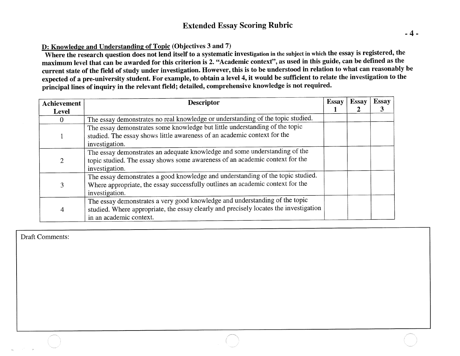#### D: Knowledge and Understanding of Topic (Objectives 3 and 7)

Where the research question does not lend itself to a systematic investigation in the subject in which the essay is registered, the maximum level that can be awarded for this criterion is 2. "Academic context", as used in this guide, can be defined as the current state of the field of study under investigation. However, this is to be understood in relation to what can reasonably be expected of a pre-university student. For example, to obtain a level 4, it would be sufficient to relate the investigation to the principal lines of inquiry in the relevant field; detailed, comprehensive knowledge is not required.

| Achievement    | <b>Descriptor</b>                                                                                                                                                                               | <b>Essay</b> | <b>Essay</b> | <b>Essay</b> |
|----------------|-------------------------------------------------------------------------------------------------------------------------------------------------------------------------------------------------|--------------|--------------|--------------|
| <b>Level</b>   |                                                                                                                                                                                                 |              |              | 3            |
|                | The essay demonstrates no real knowledge or understanding of the topic studied.                                                                                                                 |              |              |              |
|                | The essay demonstrates some knowledge but little understanding of the topic<br>studied. The essay shows little awareness of an academic context for the<br>investigation.                       |              |              |              |
| $\overline{2}$ | The essay demonstrates an adequate knowledge and some understanding of the<br>topic studied. The essay shows some awareness of an academic context for the<br>investigation.                    |              |              |              |
| 3              | The essay demonstrates a good knowledge and understanding of the topic studied.<br>Where appropriate, the essay successfully outlines an academic context for the<br>investigation.             |              |              |              |
| 4              | The essay demonstrates a very good knowledge and understanding of the topic<br>studied. Where appropriate, the essay clearly and precisely locates the investigation<br>in an academic context. |              |              |              |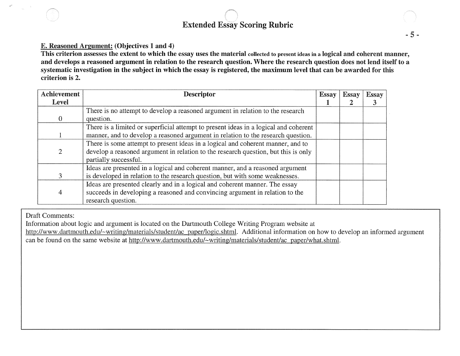#### E. Reasoned Argument: (Objectives 1 and 4)

This criterion assesses the extent to which the essay uses the material collected to present ideas in a logical and coherent manner, and develops a reasoned argument in relation to the research question. Where the research question does not lend itself to a systematic investigation in the subject in which the essay is registered, the maximum level that can be awarded for this criterion is 2.

| Achievement | <b>Descriptor</b>                                                                    | <b>Essay</b> | Essay | <b>Essay</b> |
|-------------|--------------------------------------------------------------------------------------|--------------|-------|--------------|
| Level       |                                                                                      |              |       |              |
|             | There is no attempt to develop a reasoned argument in relation to the research       |              |       |              |
|             | question.                                                                            |              |       |              |
|             | There is a limited or superficial attempt to present ideas in a logical and coherent |              |       |              |
|             | manner, and to develop a reasoned argument in relation to the research question.     |              |       |              |
|             | There is some attempt to present ideas in a logical and coherent manner, and to      |              |       |              |
|             | develop a reasoned argument in relation to the research question, but this is only   |              |       |              |
|             | partially successful.                                                                |              |       |              |
|             | Ideas are presented in a logical and coherent manner, and a reasoned argument        |              |       |              |
|             | is developed in relation to the research question, but with some weaknesses.         |              |       |              |
|             | Ideas are presented clearly and in a logical and coherent manner. The essay          |              |       |              |
|             | succeeds in developing a reasoned and convincing argument in relation to the         |              |       |              |
|             | research question.                                                                   |              |       |              |

Draft Comments:

Information about logic and argument is located on the Dartmouth College Writing Program website at

http://www.dartmouth.edu/~writing/materials/student/ac\_paper/logic.shtml. Additional information on how to develop an informed argument can be found on the same website at http://www.dartmouth.edu/~writing/materials/student/ac paper/what.shtml.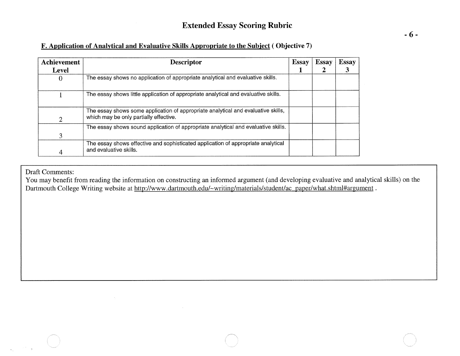#### F. Application of Analytical and Evaluative Skills Appropriate to the Subiect ( Objective 7)

| Achievement | <b>Descriptor</b>                                                                                                           | <b>Essay</b> | <b>Essay</b> | <b>Essay</b> |
|-------------|-----------------------------------------------------------------------------------------------------------------------------|--------------|--------------|--------------|
| Level       |                                                                                                                             |              |              |              |
| 0           | The essay shows no application of appropriate analytical and evaluative skills.                                             |              |              |              |
|             | The essay shows little application of appropriate analytical and evaluative skills.                                         |              |              |              |
| 2           | The essay shows some application of appropriate analytical and evaluative skills,<br>which may be only partially effective. |              |              |              |
|             | The essay shows sound application of appropriate analytical and evaluative skills.                                          |              |              |              |
| 3           |                                                                                                                             |              |              |              |
|             | The essay shows effective and sophisticated application of appropriate analytical<br>and evaluative skills.                 |              |              |              |

Draft Comments:

You may benefit from reading the information on constructing an informed argument (and developing evaluative and analytical skills) on the Dartmouth College Writing website at http://www.dartmouth.edu/~writing/materials/student/ac\_paper/what.shtml#argument.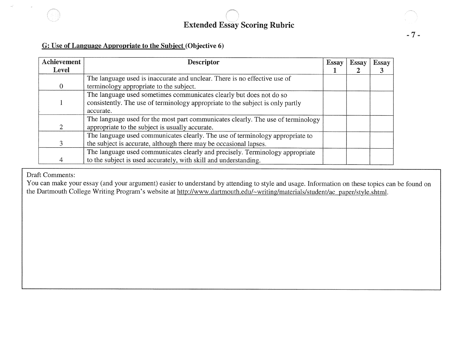

#### G: Use of Language Appropriate to the Subject (Objective 6)

| Achievement | <b>Descriptor</b>                                                                | Essay | Essay | <b>Essay</b> |
|-------------|----------------------------------------------------------------------------------|-------|-------|--------------|
| Level       |                                                                                  |       |       |              |
|             | The language used is inaccurate and unclear. There is no effective use of        |       |       |              |
| 0           | terminology appropriate to the subject.                                          |       |       |              |
|             | The language used sometimes communicates clearly but does not do so              |       |       |              |
|             | consistently. The use of terminology appropriate to the subject is only partly   |       |       |              |
|             | accurate.                                                                        |       |       |              |
|             | The language used for the most part communicates clearly. The use of terminology |       |       |              |
|             | appropriate to the subject is usually accurate.                                  |       |       |              |
|             | The language used communicates clearly. The use of terminology appropriate to    |       |       |              |
|             | the subject is accurate, although there may be occasional lapses.                |       |       |              |
|             | The language used communicates clearly and precisely. Terminology appropriate    |       |       |              |
|             | to the subject is used accurately, with skill and understanding.                 |       |       |              |

Draft Comments:

You can make your essay (and your argument) easier to understand by attending to style and usage. Information on these topics can be found on the Dartmouth College Writing Program's website at http://www.dartmouth.edu/~writing/materials/student/ac paper/style.shtml.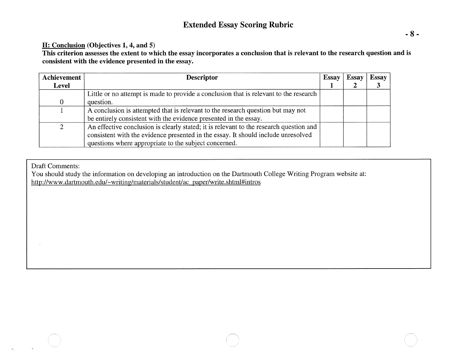#### H: Conclusion (Objectives 1, 4, and 5)

This criterion assesses the extent to which the essay incorporates a conclusion that is relevant to the research question and is consistent with the evidence presented in the essay.

| Achievement | <b>Descriptor</b>                                                                      | <b>Essay</b> | <b>Essay</b> | <b>Essay</b> |
|-------------|----------------------------------------------------------------------------------------|--------------|--------------|--------------|
| Level       |                                                                                        |              |              |              |
|             | Little or no attempt is made to provide a conclusion that is relevant to the research  |              |              |              |
|             | question.                                                                              |              |              |              |
|             | A conclusion is attempted that is relevant to the research question but may not        |              |              |              |
|             | be entirely consistent with the evidence presented in the essay.                       |              |              |              |
| 2           | An effective conclusion is clearly stated; it is relevant to the research question and |              |              |              |
|             | consistent with the evidence presented in the essay. It should include unresolved      |              |              |              |
|             | questions where appropriate to the subject concerned.                                  |              |              |              |

Draft Comments:

You should study the information on developing an introduction on the Dartmouth College Writing Program website at: http://www.dartmouth.edu/~writing/materials/student/ac\_paper/write.shtml#intros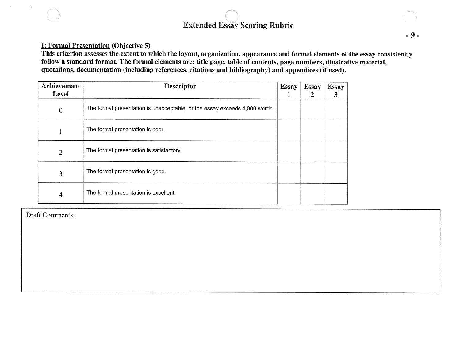#### I: Formal Presentation (Objective 5)

This criterion assesses the extent to which the layout, organization, appearance and formal elements of the essay consistently follow a standard format. The formal elements are: title page, table of contents, page numbers, illustrative material, quotations, documentation (including references, citations and bibliography) and appendices (if used).

| Achievement<br>Level | <b>Descriptor</b>                                                          | <b>Essay</b> | <b>Essay</b><br>$\boldsymbol{2}$ | <b>Essay</b><br>3 |
|----------------------|----------------------------------------------------------------------------|--------------|----------------------------------|-------------------|
| $\overline{0}$       | The formal presentation is unacceptable, or the essay exceeds 4,000 words. |              |                                  |                   |
| 1                    | The formal presentation is poor.                                           |              |                                  |                   |
| $\overline{2}$       | The formal presentation is satisfactory.                                   |              |                                  |                   |
| 3                    | The formal presentation is good.                                           |              |                                  |                   |
| 4                    | The formal presentation is excellent.                                      |              |                                  |                   |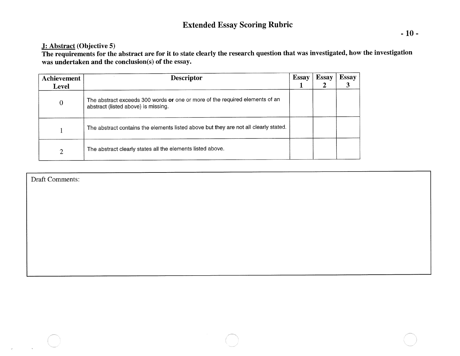#### J: Abstract (Objective 5)

The requirements for the abstract are for it to state clearly the research question that was investigated, how the investigation was undertaken and the conclusion(s) of the essay.

| <b>Achievement</b> | <b>Descriptor</b>                                                                                                   | <b>Essay</b> | <b>Essay</b> | <b>Essay</b> |
|--------------------|---------------------------------------------------------------------------------------------------------------------|--------------|--------------|--------------|
| <b>Level</b>       |                                                                                                                     |              |              |              |
| $\bf{0}$           | The abstract exceeds 300 words or one or more of the required elements of an<br>abstract (listed above) is missing. |              |              |              |
|                    | The abstract contains the elements listed above but they are not all clearly stated.                                |              |              |              |
| ◠                  | The abstract clearly states all the elements listed above.                                                          |              |              |              |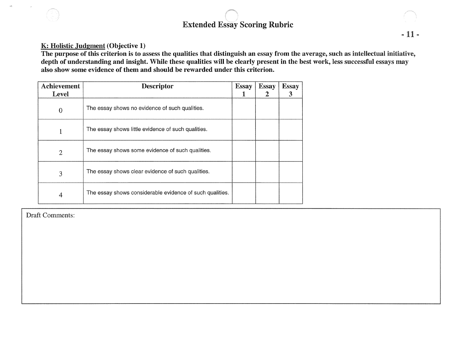#### **K: Holistic judgment(Objective 1)**

**The purpose of this criterion is to assess the qualities that distinguish an essay from the average, such as intellectual initiative, depth of understanding and insight. While these qualities will be clearly present in the best work, less successful essays may also show some evidence of them and should be rewarded under this criterion.** 

| Achievement<br>Level | <b>Descriptor</b>                                        | <b>Essay</b> | <b>Essay</b> | <b>Essay</b><br>3 |
|----------------------|----------------------------------------------------------|--------------|--------------|-------------------|
| $\mathbf 0$          | The essay shows no evidence of such qualities.           |              |              |                   |
|                      | The essay shows little evidence of such qualities.       |              |              |                   |
| $\overline{2}$       | The essay shows some evidence of such qualities.         |              |              |                   |
| 3                    | The essay shows clear evidence of such qualities.        |              |              |                   |
| 4                    | The essay shows considerable evidence of such qualities. |              |              |                   |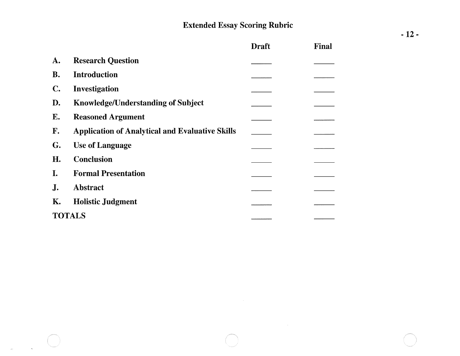$\sim$ 

|                |                                                        | <b>Draft</b> | <b>Final</b> |
|----------------|--------------------------------------------------------|--------------|--------------|
| A.             | <b>Research Question</b>                               |              |              |
| <b>B.</b>      | <b>Introduction</b>                                    |              |              |
| $\mathbb{C}$ . | Investigation                                          |              |              |
| D.             | <b>Knowledge/Understanding of Subject</b>              |              |              |
| E.             | <b>Reasoned Argument</b>                               |              |              |
| F.             | <b>Application of Analytical and Evaluative Skills</b> |              |              |
| G.             | <b>Use of Language</b>                                 |              |              |
| H.             | <b>Conclusion</b>                                      |              |              |
| I.             | <b>Formal Presentation</b>                             |              |              |
| J.             | <b>Abstract</b>                                        |              |              |
| Κ.             | <b>Holistic Judgment</b>                               |              |              |
|                | <b>TOTALS</b>                                          |              |              |

 $\frac{1}{2} \sum_{i=1}^{n} \frac{1}{2} \sum_{j=1}^{n} \frac{1}{2} \sum_{j=1}^{n} \frac{1}{2} \sum_{j=1}^{n} \frac{1}{2} \sum_{j=1}^{n} \frac{1}{2} \sum_{j=1}^{n} \frac{1}{2} \sum_{j=1}^{n} \frac{1}{2} \sum_{j=1}^{n} \frac{1}{2} \sum_{j=1}^{n} \frac{1}{2} \sum_{j=1}^{n} \frac{1}{2} \sum_{j=1}^{n} \frac{1}{2} \sum_{j=1}^{n} \frac{1}{2} \sum_{j=1}^{n$ 

 $\mathcal{L}_{\mathcal{L}}$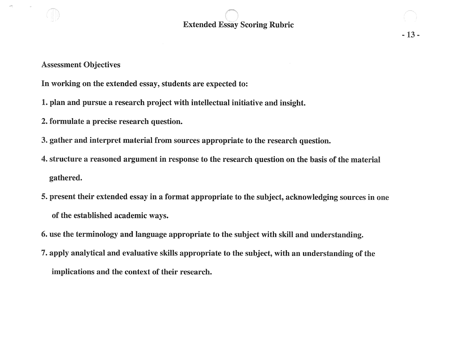**In working on the extended essay, students are expected to:** 

- **1. plan and pursue a research project with intellectual initiative and insight.**
- **2. formulate a precise research question.**
- **3. gather and interpret material from sources appropriate to the research question.**
- **4. structure a reasoned argument in response to the research question on the basis of the material gathered.**
- **5. present their extended essay in a format appropriate to the subject, acknowledging sources in one of the established academic ways.**
- **6. use the terminology and language appropriate to the subject with skill and understanding.**
- **7. apply analytical and evaluative skills appropriate to the subject, with an understanding of the implications and the context of their research.**